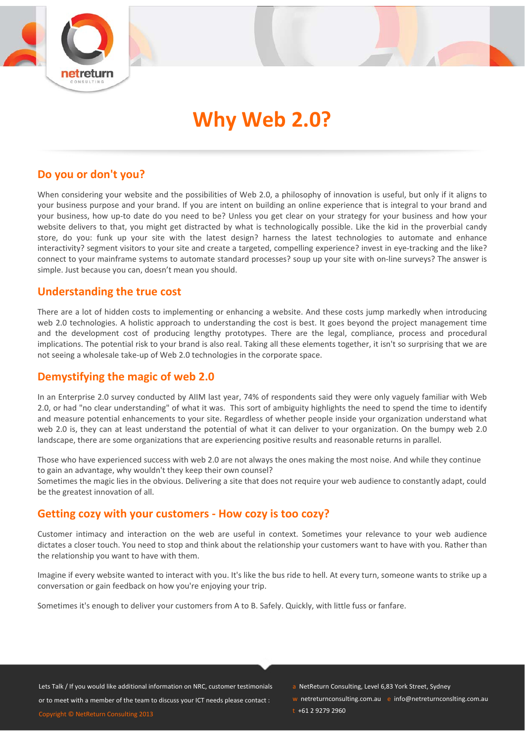

# **Why Web 2.0?**

## **Do you or don't you?**

When considering your website and the possibilities of Web 2.0, a philosophy of innovation is useful, but only if it aligns to your business purpose and your brand. If you are intent on building an online experience that is integral to your brand and your business, how up-to date do you need to be? Unless you get clear on your strategy for your business and how your website delivers to that, you might get distracted by what is technologically possible. Like the kid in the proverbial candy store, do you: funk up your site with the latest design? harness the latest technologies to automate and enhance interactivity? segment visitors to your site and create a targeted, compelling experience? invest in eye-tracking and the like? connect to your mainframe systems to automate standard processes? soup up your site with on-line surveys? The answer is simple. Just because you can, doesn't mean you should.

### **Understanding the true cost**

There are a lot of hidden costs to implementing or enhancing a website. And these costs jump markedly when introducing web 2.0 technologies. A holistic approach to understanding the cost is best. It goes beyond the project management time and the development cost of producing lengthy prototypes. There are the legal, compliance, process and procedural implications. The potential risk to your brand is also real. Taking all these elements together, it isn't so surprising that we are not seeing a wholesale take‐up of Web 2.0 technologies in the corporate space.

# **Demystifying the magic of web 2.0**

In an Enterprise 2.0 survey conducted by AIIM last year, 74% of respondents said they were only vaguely familiar with Web 2.0, or had "no clear understanding" of what it was. This sort of ambiguity highlights the need to spend the time to identify and measure potential enhancements to your site. Regardless of whether people inside your organization understand what web 2.0 is, they can at least understand the potential of what it can deliver to your organization. On the bumpy web 2.0 landscape, there are some organizations that are experiencing positive results and reasonable returns in parallel.

Those who have experienced success with web 2.0 are not always the ones making the most noise. And while they continue to gain an advantage, why wouldn't they keep their own counsel?

Sometimes the magic lies in the obvious. Delivering a site that does not require your web audience to constantly adapt, could be the greatest innovation of all.

### **Getting cozy with your customers ‐ How cozy is too cozy?**

Customer intimacy and interaction on the web are useful in context. Sometimes your relevance to your web audience dictates a closer touch. You need to stop and think about the relationship your customers want to have with you. Rather than the relationship you want to have with them.

Imagine if every website wanted to interact with you. It's like the bus ride to hell. At every turn, someone wants to strike up a conversation or gain feedback on how you're enjoying your trip.

Sometimes it's enough to deliver your customers from A to B. Safely. Quickly, with little fuss or fanfare.

Lets Talk / If you would like additional information on NRC, customer testimonials or to meet with a member of the team to discuss your ICT needs please contact : Copyright © NetReturn Consulting 2013

- a NetReturn Consulting, Level 6,83 York Street, Sydney
- w netreturnconsulting.com.au e info@netreturnconslting.com.au

 $t + 61$  2 9279 2960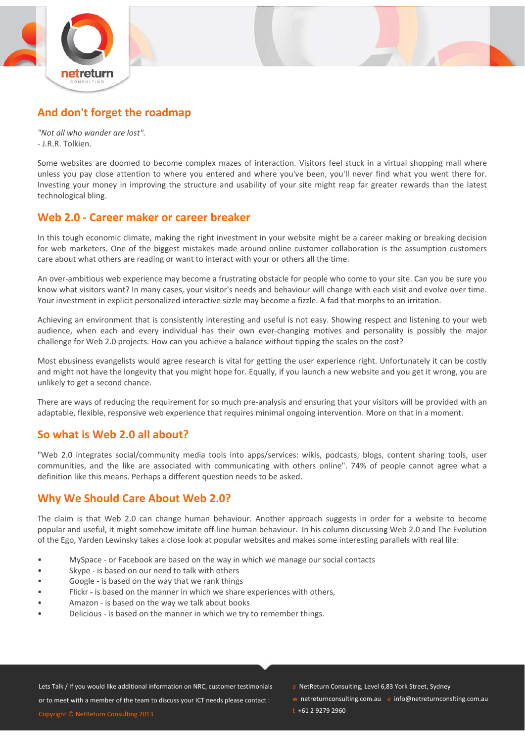



# **And don't forget the roadmap**

*"Not all who wander are lost".* ‐ J.R.R. Tolkien.

Some websites are doomed to become complex mazes of interaction. Visitors feel stuck in a virtual shopping mall where unless you pay close attention to where you entered and where you've been, you'll never find what you went there for. Investing your money in improving the structure and usability of your site might reap far greater rewards than the latest technological bling.

## **Web 2.0 ‐ Career maker or career breaker**

In this tough economic climate, making the right investment in your website might be a career making or breaking decision for web marketers. One of the biggest mistakes made around online customer collaboration is the assumption customers care about what others are reading or want to interact with your or others all the time.

An over-ambitious web experience may become a frustrating obstacle for people who come to your site. Can you be sure you know what visitors want? In many cases, your visitor's needs and behaviour will change with each visit and evolve over time. Your investment in explicit personalized interactive sizzle may become a fizzle. A fad that morphs to an irritation.

Achieving an environment that is consistently interesting and useful is not easy. Showing respect and listening to your web audience, when each and every individual has their own ever-changing motives and personality is possibly the major challenge for Web 2.0 projects. How can you achieve a balance without tipping the scales on the cost?

Most ebusiness evangelists would agree research is vital for getting the user experience right. Unfortunately it can be costly and might not have the longevity that you might hope for. Equally, if you launch a new website and you get it wrong, you are unlikely to get a second chance.

There are ways of reducing the requirement for so much pre-analysis and ensuring that your visitors will be provided with an adaptable, flexible, responsive web experience that requires minimal ongoing intervention. More on that in a moment.

# **So what is Web 2.0 all about?**

"Web 2.0 integrates social/community media tools into apps/services: wikis, podcasts, blogs, content sharing tools, user communities, and the like are associated with communicating with others online". 74% of people cannot agree what a definition like this means. Perhaps a different question needs to be asked.

# **Why We Should Care About Web 2.0?**

The claim is that Web 2.0 can change human behaviour. Another approach suggests in order for a website to become popular and useful, it might somehow imitate off‐line human behaviour. In his column discussing Web 2.0 and The Evolution of the Ego, Yarden Lewinsky takes a close look at popular websites and makes some interesting parallels with real life:

- MySpace ‐ or Facebook are based on the way in which we manage our social contacts
- Skype ‐ is based on our need to talk with others
- Google is based on the way that we rank things
- Flickr is based on the manner in which we share experiences with others,
- Amazon is based on the way we talk about books
- Delicious ‐ is based on the manner in which we try to remember things.

Lets Talk / If you would like additional information on NRC, customer testimonials

or to meet with a member of the team to discuss your ICT needs please contact :

Copyright © NetReturn Consulting 2013

- a NetReturn Consulting, Level 6,83 York Street, Sydney
- w netreturnconsulting.com.au e info@netreturnconslting.com.au
- $t + 61$  2 9279 2960